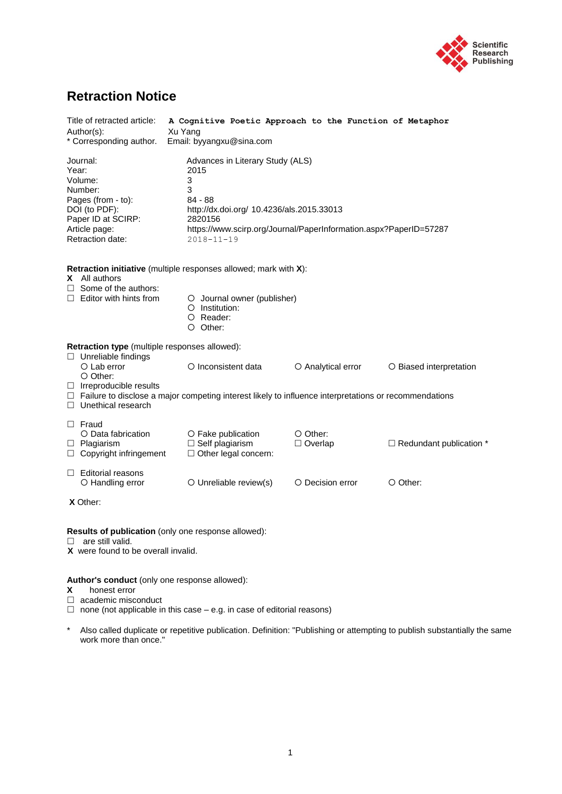

## **Retraction Notice**

| Title of retracted article:<br>Author(s):<br>* Corresponding author.                                                                                                                | A Cognitive Poetic Approach to the Function of Metaphor<br>Xu Yang<br>Email: byyangxu@sina.com                                                                                                                 |                            |                                  |  |
|-------------------------------------------------------------------------------------------------------------------------------------------------------------------------------------|----------------------------------------------------------------------------------------------------------------------------------------------------------------------------------------------------------------|----------------------------|----------------------------------|--|
| Journal:<br>Year:<br>Volume:<br>Number:<br>Pages (from - to):<br>DOI (to PDF):<br>Paper ID at SCIRP:<br>Article page:<br>Retraction date:                                           | Advances in Literary Study (ALS)<br>2015<br>3<br>3<br>84 - 88<br>http://dx.doi.org/ 10.4236/als.2015.33013<br>2820156<br>https://www.scirp.org/Journal/PaperInformation.aspx?PaperID=57287<br>$2018 - 11 - 19$ |                            |                                  |  |
| X All authors<br>$\Box$ Some of the authors:<br>$\Box$ Editor with hints from                                                                                                       | Retraction initiative (multiple responses allowed; mark with X):<br>O Journal owner (publisher)<br>$\circ$ Institution:<br>O Reader:<br>$O$ Other:                                                             |                            |                                  |  |
| <b>Retraction type</b> (multiple responses allowed):<br>$\Box$ Unreliable findings<br>$O$ Lab error<br>$\circ$ Other:<br>$\Box$ Irreproducible results<br>$\Box$ Unethical research | O Inconsistent data<br>$\Box$ Failure to disclose a major competing interest likely to influence interpretations or recommendations                                                                            | O Analytical error         | O Biased interpretation          |  |
| $\Box$ Fraud<br>O Data fabrication<br>$\Box$ Plagiarism<br>$\Box$ Copyright infringement                                                                                            | O Fake publication<br>$\Box$ Self plagiarism<br>$\Box$ Other legal concern:                                                                                                                                    | O Other:<br>$\Box$ Overlap | $\Box$ Redundant publication $*$ |  |
| $\Box$ Editorial reasons<br>O Handling error                                                                                                                                        | O Unreliable review(s)                                                                                                                                                                                         | O Decision error           | $\circ$ Other:                   |  |
| X Other:                                                                                                                                                                            |                                                                                                                                                                                                                |                            |                                  |  |
| are still valid.<br>X were found to be overall invalid.                                                                                                                             | Results of publication (only one response allowed):                                                                                                                                                            |                            |                                  |  |
| Author's conduct (only one response allowed):<br>honest error<br>х<br>academic misconduct                                                                                           | $\Box$ none (not applicable in this case – e.g. in case of editorial reasons)                                                                                                                                  |                            |                                  |  |

\* Also called duplicate or repetitive publication. Definition: "Publishing or attempting to publish substantially the same work more than once."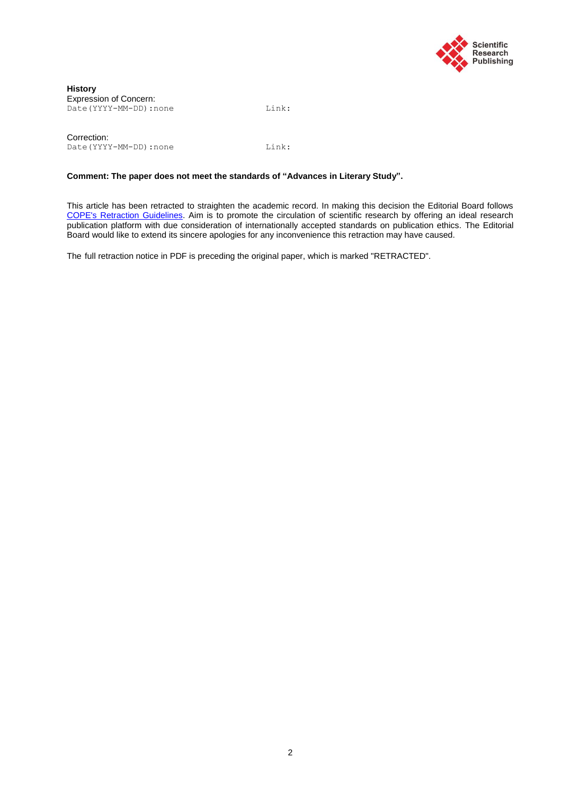

Correction: Date(YYYY-MM-DD):none Link:

#### **Comment: The paper does not meet the standards of "Advances in Literary Study".**

This article has been retracted to straighten the academic record. In making this decision the Editorial Board follows [COPE's Retraction Guidelines.](http://publicationethics.org/files/retraction%20guidelines.pdf) Aim is to promote the circulation of scientific research by offering an ideal research publication platform with due consideration of internationally accepted standards on publication ethics. The Editorial Board would like to extend its sincere apologies for any inconvenience this retraction may have caused.

The [full retraction notice](http://file.scirp.org/pdf/JMP_2016062014172156.pdf) in PDF is preceding the original paper, which is marked "RETRACTED".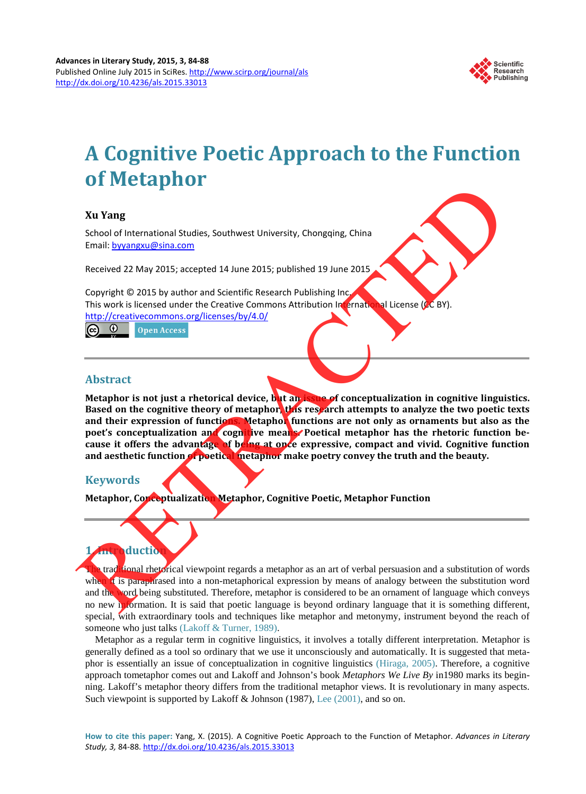

# **A Cognitive Poetic Approach to the Function of Metaphor**

## **Xu Yang**

School of International Studies, Southwest University, Chongqing, China Email: byyangxu@sina.com

Received 22 May 2015; accepted 14 June 2015; published 19 June 2015

Copyright © 2015 by author and Scientific Research Publishing Inc. This work is licensed under the Creative Commons Attribution International License (CC BY). http://creativecommons.org/licenses/by/4.0/

## **Abstract**

**Metaphor is not just a rhetorical device, but an issue of conceptualization in cognitive linguistics. Based on the cognitive theory of metaphor, this research attempts to analyze the two poetic texts and their expression of functions. Metaphor functions are not only as ornaments but also as the**  poet's conceptualization and cognitive means. Poetical metaphor has the rhetoric function be**cause it offers the advantage of being at once expressive, compact and vivid. Cognitive function and aesthetic function of poetical metaphor make poetry convey the truth and the beauty.**  Xu Yang<br>
Studies Southwest University, Chongqing, China<br>
Studies University Chongqing, China<br>
Email: byvangxu@sina.com<br>
Received 22 May 2015 is vauthor and Scientific Research Publishing Inc.<br>
This work is license under th

## **Keywords**

**Metaphor, Conceptualization Metaphor, Cognitive Poetic, Metaphor Function**

## **1**duction

traditional rhetorical viewpoint regards a metaphor as an art of verbal persuasion and a substitution of words when it is paraphrased into a non-metaphorical expression by means of analogy between the substitution word and the word being substituted. Therefore, metaphor is considered to be an ornament of language which conveys no new information. It is said that poetic language is beyond ordinary language that it is something different, special, with extraordinary tools and techniques like metaphor and metonymy, instrument beyond the reach of someone who just talks [\(Lakoff & Turner, 1989\).](#page-6-0)

Metaphor as a regular term in cognitive linguistics, it involves a totally different interpretation. Metaphor is generally defined as a tool so ordinary that we use it unconsciously and automatically. It is suggested that metaphor is essentially an issue of conceptualization in cognitive linguistics [\(Hiraga, 2005\).](#page-6-0) Therefore, a cognitive approach tometaphor comes out and Lakoff and Johnson's book *Metaphors We Live By* in1980 marks its beginning. Lakoff's metaphor theory differs from the traditional metaphor views. It is revolutionary in many aspects. Such viewpoint is supported by Lakoff & Johnson (1987), [Lee \(2001\),](#page-6-0) and so on.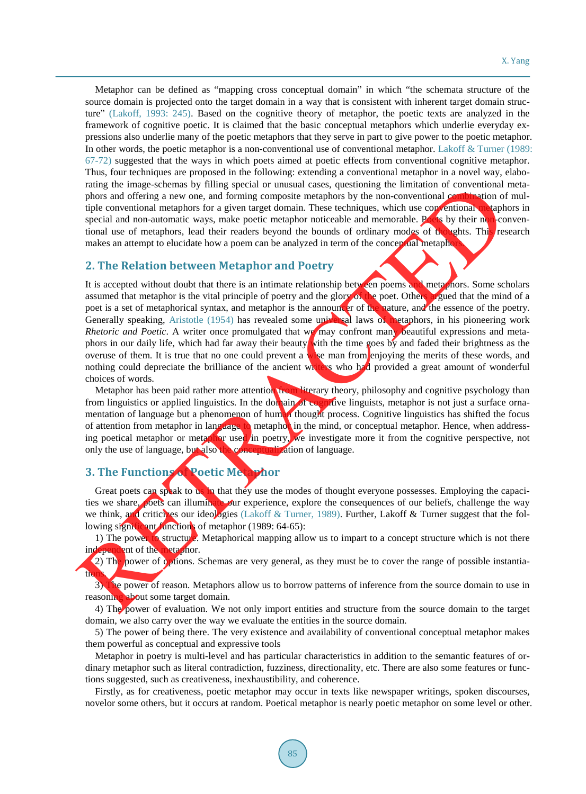Metaphor can be defined as "mapping cross conceptual domain" in which "the schemata structure of the source domain is projected onto the target domain in a way that is consistent with inherent target domain structure" [\(Lakoff, 1993: 245\).](#page-6-0) Based on the cognitive theory of metaphor, the poetic texts are analyzed in the framework of cognitive poetic. It is claimed that the basic conceptual metaphors which underlie everyday expressions also underlie many of the poetic metaphors that they serve in part to give power to the poetic metaphor. In other words, the poetic metaphor is a non-conventional use of conventional metaphor. [Lakoff & Turner \(1989:](#page-6-0) [67-72\)](#page-6-0) suggested that the ways in which poets aimed at poetic effects from conventional cognitive metaphor. Thus, four techniques are proposed in the following: extending a conventional metaphor in a novel way, elaborating the image-schemas by filling special or unusual cases, questioning the limitation of conventional metaphors and offering a new one, and forming composite metaphors by the non-conventional combination of multiple conventional metaphors for a given target domain. These techniques, which use conventional metaphors in special and non-automatic ways, make poetic metaphor noticeable and memorable. Poets by their non-conventional use of metaphors, lead their readers beyond the bounds of ordinary modes of thoughts. This research makes an attempt to elucidate how a poem can be analyzed in term of the conceptual metaphors.

### **2. The Relation between Metaphor and Poetry**

It is accepted without doubt that there is an intimate relationship between poems and metaphors. Some scholars assumed that metaphor is the vital principle of poetry and the glory of the poet. Others argued that the mind of a poet is a set of metaphorical syntax, and metaphor is the announcer of the nature, and the essence of the poetry. Generally speaking, Aristotle (1954) has revealed some universal laws of metaphors, in his pioneering work *Rhetoric and Poetic*. A writer once promulgated that we may confront many beautiful expressions and metaphors in our daily life, which had far away their beauty with the time goes by and faded their brightness as the overuse of them. It is true that no one could prevent a wise man from enjoying the merits of these words, and nothing could depreciate the brilliance of the ancient writers who had provided a great amount of wonderful choices of words. rating the image-schemal by filling special or nusual cases, questioning the limitation of conventional capacity<br>phors and offering a new one, and forming composite metaphors by the non-conventional composite<br>special and

Metaphor has been paid rather more attention from literary theory, philosophy and cognitive psychology than from linguistics or applied linguistics. In the domain of cognitive linguists, metaphor is not just a surface ornamentation of language but a phenomenon of human thought process. Cognitive linguistics has shifted the focus of attention from metaphor in language to metaphor in the mind, or conceptual metaphor. Hence, when addressing poetical metaphor or metaphor used in poetry, we investigate more it from the cognitive perspective, not only the use of language, but also the conceptualization of language.

## **3. The Functions of Poetic Metaphor**

Great poets can speak to us in that they use the modes of thought everyone possesses. Employing the capacities we share, poets can illuminate our experience, explore the consequences of our beliefs, challenge the way we think, and criticizes our ideologies (Lakoff & Turner, 1989). Further, Lakoff & Turner suggest that the following significant functions of metaphor  $(1989: 64-65)$ :

1) The power to structure. Metaphorical mapping allow us to impart to a concept structure which is not there independent of the metaphor.

2) The power of options. Schemas are very general, as they must be to cover the range of possible instantiath.

3) The power of reason. Metaphors allow us to borrow patterns of inference from the source domain to use in reasoning about some target domain.

4) The power of evaluation. We not only import entities and structure from the source domain to the target domain, we also carry over the way we evaluate the entities in the source domain.

5) The power of being there. The very existence and availability of conventional conceptual metaphor makes them powerful as conceptual and expressive tools

Metaphor in poetry is multi-level and has particular characteristics in addition to the semantic features of ordinary metaphor such as literal contradiction, fuzziness, directionality, etc. There are also some features or functions suggested, such as creativeness, inexhaustibility, and coherence.

Firstly, as for creativeness, poetic metaphor may occur in texts like newspaper writings, spoken discourses, novelor some others, but it occurs at random. Poetical metaphor is nearly poetic metaphor on some level or other.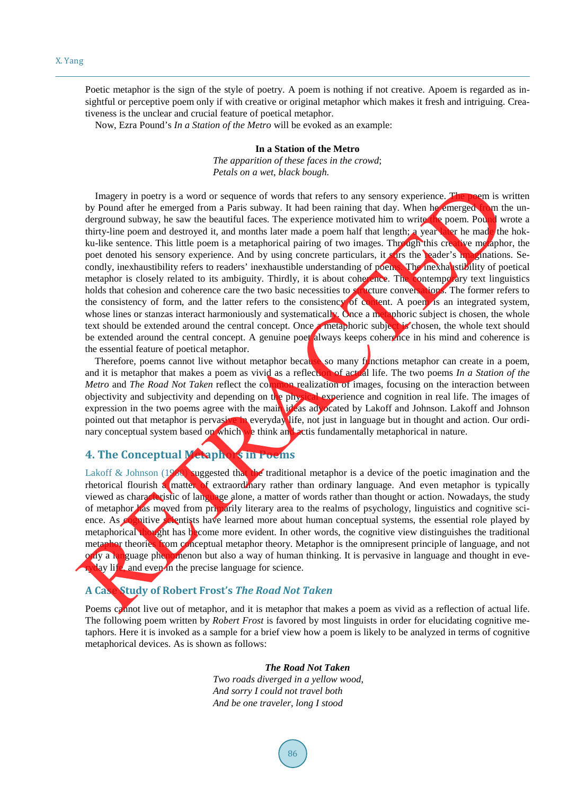Poetic metaphor is the sign of the style of poetry. A poem is nothing if not creative. Apoem is regarded as insightful or perceptive poem only if with creative or original metaphor which makes it fresh and intriguing. Creativeness is the unclear and crucial feature of poetical metaphor.

Now, Ezra Pound's *In a Station of the Metro* will be evoked as an example:

#### **In a Station of the Metro**

*The apparition of these faces in the crowd*; *Petals on a wet*, *black bough.*

Imagery in poetry is a word or sequence of words that refers to any sensory experience. The poem is written by Pound after he emerged from a Paris subway. It had been raining that day. When he emerged from the underground subway, he saw the beautiful faces. The experience motivated him to write the poem. Pound wrote a thirty-line poem and destroyed it, and months later made a poem half that length; a year later he made the hokku-like sentence. This little poem is a metaphorical pairing of two images. Through this creative metaphor, the poet denoted his sensory experience. And by using concrete particulars, it sure the reader's imaginations. Secondly, inexhaustibility refers to readers' inexhaustible understanding of poems. The inexhaustibility of poetical metaphor is closely related to its ambiguity. Thirdly, it is about coherence. The contemporary text linguistics holds that cohesion and coherence care the two basic necessities to structure conversations. The former refers to the consistency of form, and the latter refers to the consistency of content. A poem is an integrated system, whose lines or stanzas interact harmoniously and systematically. Once a metaphoric subject is chosen, the whole text should be extended around the central concept. Once a metaphoric subject is chosen, the whole text should be extended around the central concept. A genuine poet always keeps coherence in his mind and coherence is the essential feature of poetical metaphor. I magery in poetry is a word or sequence of words that refers to any sensory experience. [T](#page-6-0)he space of the measure of the measure of the measure of the measure of the measure of the measure of the measure of the measure of

Therefore, poems cannot live without metaphor because so many functions metaphor can create in a poem, and it is metaphor that makes a poem as vivid as a reflection of actual life. The two poems *In a Station of the Metro* and *The Road Not Taken* reflect the common realization of images, focusing on the interaction between objectivity and subjectivity and depending on the physical experience and cognition in real life. The images of expression in the two poems agree with the main ideas advocated by Lakoff and Johnson. Lakoff and Johnson pointed out that metaphor is pervasive in everyday life, not just in language but in thought and action. Our ordinary conceptual system based on which we think and actis fundamentally metaphorical in nature.

## **4. The Conceptual Metaphors in Poems**

Lakoff & Johnson (1980) suggested that the traditional metaphor is a device of the poetic imagination and the rhetorical flourish a matter of extraordinary rather than ordinary language. And even metaphor is typically viewed as characteristic of language alone, a matter of words rather than thought or action. Nowadays, the study of metaphor has moved from primarily literary area to the realms of psychology, linguistics and cognitive science. As **cognitive scientists** have learned more about human conceptual systems, the essential role played by metaphorical thought has become more evident. In other words, the cognitive view distinguishes the traditional metaphor theories from conceptual metaphor theory. Metaphor is the omnipresent principle of language, and not only a language phenomenon but also a way of human thinking. It is pervasive in language and thought in eve-Nay life, and even in the precise language for science.

## **A Case Study of Robert Frost's** *The Road Not Taken*

Poems cannot live out of metaphor, and it is metaphor that makes a poem as vivid as a reflection of actual life. The following poem written by *Robert Frost* is favored by most linguists in order for elucidating cognitive metaphors. Here it is invoked as a sample for a brief view how a poem is likely to be analyzed in terms of cognitive metaphorical devices. As is shown as follows:

#### *The Road Not Taken*

*Two roads diverged in a yellow wood*, *And sorry I could not travel both And be one traveler*, *long I stood*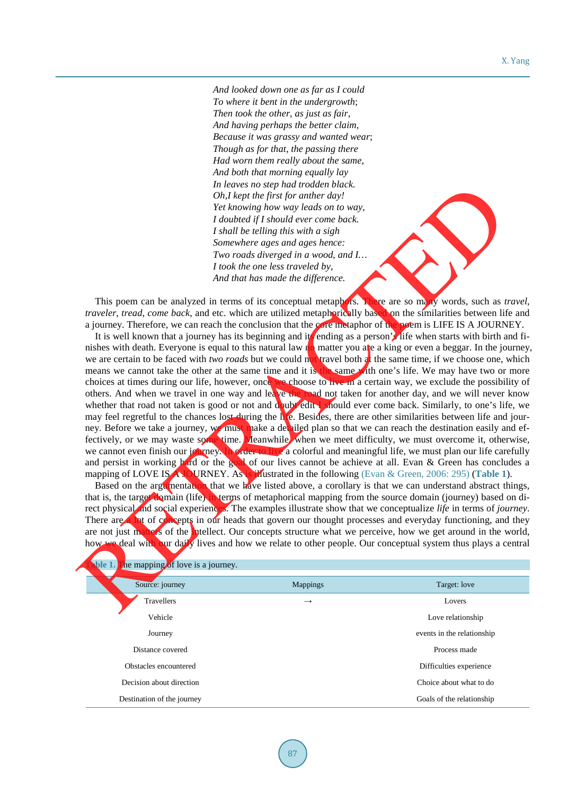*And looked down one as far as I could To where it bent in the undergrowth*; *Then took the other*, *as just as fair*, *And having perhaps the better claim*, *Because it was grassy and wanted wear*; *Though as for that*, *the passing there Had worn them really about the same*, *And both that morning equally lay In leaves no step had trodden black. Oh*,*I kept the first for anther day! Yet knowing how way leads on to way*, *I doubted if I should ever come back. I shall be telling this with a sigh Somewhere ages and ages hence: Two roads diverged in a wood*, *and I… I took the one less traveled by*, *And that has made the difference.*

This poem can be analyzed in terms of its conceptual metaphors. There are so many words, such as *travel*, *traveler*, *tread*, *come back*, and etc. which are utilized metaphorically based on the similarities between life and a journey. Therefore, we can reach the conclusion that the core metaphor of the poem is LIFE IS A JOURNEY.

It is well known that a journey has its beginning and its ending as a person's life when starts with birth and finishes with death. Everyone is equal to this natural law no matter you are a king or even a beggar. In the journey, we are certain to be faced with *two roads* but we could not travel both at the same time, if we choose one, which means we cannot take the other at the same time and it is the same with one's life. We may have two or more choices at times during our life, however, once we choose to live in a certain way, we exclude the possibility of others. And when we travel in one way and leave the road not taken for another day, and we will never know whether that road not taken is good or not and doubt edity should ever come back. Similarly, to one's life, we may feel regretful to the chances lost during the life. Besides, there are other similarities between life and journey. Before we take a journey, we must make a detailed plan so that we can reach the destination easily and effectively, or we may waste some time. Meanwhile, when we meet difficulty, we must overcome it, otherwise, we cannot even finish our journey. In order to live a colorful and meaningful life, we must plan our life carefully and persist in working hard or the goal of our lives cannot be achieve at all. Evan & Green has concludes a mapping of LOVE IS A JOURNEY. As is illustrated in the following (Evan & Green, 2006: 295) (**Table 1**). In the case of the plane and strong has the other and tractation by the strategy in the term of the content of the strategy of the strategy in the strategy of the strategy of the strategy of the strategy of the strategy o

Based on the argumentation that we have listed above, a corollary is that we can understand abstract things, that is, the target domain (life) in terms of metaphorical mapping from the source domain (journey) based on direct physical and social experiences. The examples illustrate show that we conceptualize *life* in terms of *journey*. There are a lot of concepts in our heads that govern our thought processes and everyday functioning, and they are not just matters of the intellect. Our concepts structure what we perceive, how we get around in the world, how we deal with our daily lives and how we relate to other people. Our conceptual system thus plays a central

<span id="page-5-0"></span>

| ble 1.<br>the mapping of love is a journey. |               |                            |
|---------------------------------------------|---------------|----------------------------|
| Source: journey                             | Mappings      | Target: love               |
| Travellers                                  | $\rightarrow$ | Lovers                     |
| Vehicle                                     |               | Love relationship          |
| Journey                                     |               | events in the relationship |
| Distance covered                            |               | Process made               |
| Obstacles encountered                       |               | Difficulties experience    |
| Decision about direction                    |               | Choice about what to do    |
| Destination of the journey                  |               | Goals of the relationship  |